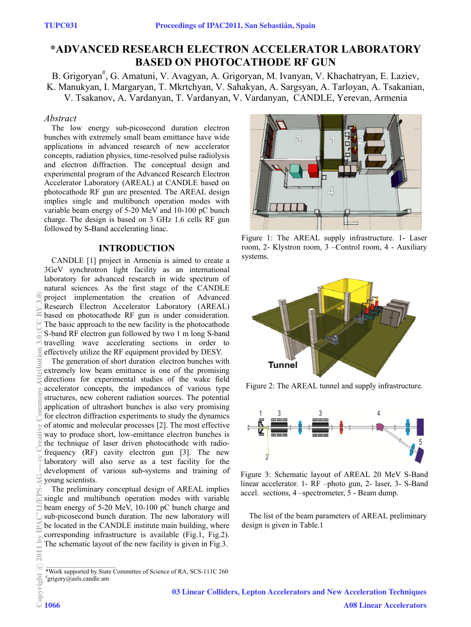# **\*ADVANCED RESEARCH ELECTRON ACCELERATOR LABORATORY BASED ON PHOTOCATHODE RF GUN**

B. Grigoryan<sup>#</sup>, G. Amatuni, V. Avagyan, A. Grigoryan, M. Ivanyan, V. Khachatryan, E. Laziev, K. Manukyan, I. Margaryan, T. Mkrtchyan, V. Sahakyan, A. Sargsyan, A. Tarloyan, A. Tsakanian, V. Tsakanov, A. Vardanyan, T. Vardanyan, V. Vardanyan, CANDLE, Yerevan, Armenia

#### *Abstract*

The low energy sub-picosecond duration electron bunches with extremely small beam emittance have wide applications in advanced research of new accelerator concepts, radiation physics, time-resolved pulse radiolysis and electron diffraction. The conceptual design and experimental program of the Advanced Research Electron Accelerator Laboratory (AREAL) at CANDLE based on photocathode RF gun are presented. The AREAL design implies single and multibunch operation modes with variable beam energy of 5-20 MeV and 10-100 pC bunch charge. The design is based on 3 GHz 1.6 cells RF gun followed by S-Band accelerating linac.

### **INTRODUCTION**

CANDLE [1] project in Armenia is aimed to create a 3GeV synchrotron light facility as an international laboratory for advanced research in wide spectrum of natural sciences. As the first stage of the CANDLE project implementation the creation of Advanced Research Electron Accelerator Laboratory (AREAL) based on photocathode RF gun is under consideration. The basic approach to the new facility is the photocathode S-band RF electron gun followed by two 1 m long S-band travelling wave accelerating sections in order to effectively utilize the RF equipment provided by DESY.

The generation of short duration electron bunches with extremely low beam emittance is one of the promising directions for experimental studies of the wake field accelerator concepts, the impedances of various type structures, new coherent radiation sources. The potential application of ultrashort bunches is also very promising for electron diffraction experiments to study the dynamics of atomic and molecular processes [2]. The most effective way to produce short, low-emittance electron bunches is the technique of laser driven photocathode with radiofrequency (RF) cavity electron gun [3]. The new laboratory will also serve as a test facility for the development of various sub-systems and training of young scientists.

The preliminary conceptual design of AREAL implies single and multibunch operation modes with variable beam energy of 5-20 MeV, 10-100 pC bunch charge and sub-picosecond bunch duration. The new laboratory will be located in the CANDLE institute main building, where corresponding infrastructure is available (Fig.1, Fig.2). The schematic layout of the new facility is given in Fig.3.



Figure 1: The AREAL supply infrastructure. 1- Laser room, 2- Klystron room, 3 –Control room, 4 - Auxiliary systems.



Figure 2: The AREAL tunnel and supply infrastructure.



Figure 3: Schematic layout of AREAL 20 MeV S-Band linear accelerator. 1- RF –photo gun, 2- laser, 3- S-Band accel. sections, 4 –spectrometer, 5 - Beam dump.

The list of the beam parameters of AREAL preliminary design is given in Table.1

**Work supported by State Committee of Science of RA, SCS-111C 260** grigory@asls.candle.am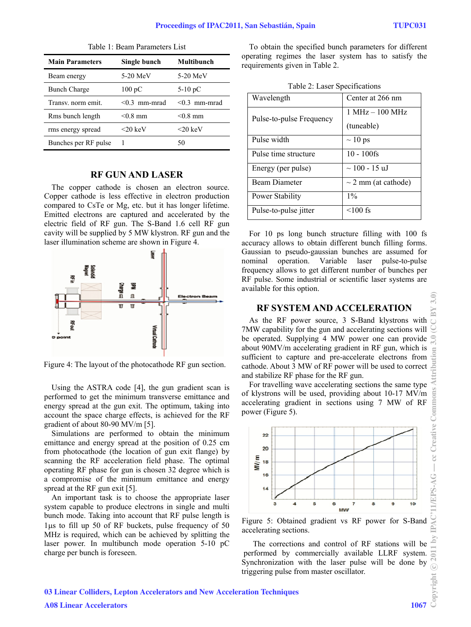| Table 1: Beam Parameters List |                  |                    |
|-------------------------------|------------------|--------------------|
| <b>Main Parameters</b>        | Single bunch     | Multibunch         |
| Beam energy                   | $5-20$ MeV       | $5-20$ MeV         |
| <b>Bunch Charge</b>           | $100 \text{ pC}$ | 5-10 pC            |
| Transy, norm emit.            | $< 0.3$ mm-mrad  | $\leq 0.3$ mm-mrad |
| Rms bunch length              | $< 0.8$ mm       | $< 0.8$ mm         |
| rms energy spread             | $<$ 20 keV       | $<$ 20 keV         |
| Bunches per RF pulse          |                  | 50                 |

Table 1: Beam Parameters List

# **RF GUN AND LASER**

The copper cathode is chosen an electron source. Copper cathode is less effective in electron production compared to CsTe or Mg, etc. but it has longer lifetime. Emitted electrons are captured and accelerated by the electric field of RF gun. The S-Band 1.6 cell RF gun cavity will be supplied by 5 MW klystron. RF gun and the laser illumination scheme are shown in Figure 4.



Figure 4: The layout of the photocathode RF gun section.

Using the ASTRA code [4], the gun gradient scan is performed to get the minimum transverse emittance and energy spread at the gun exit. The optimum, taking into account the space charge effects, is achieved for the RF gradient of about 80-90 MV/m [5].

Simulations are performed to obtain the minimum emittance and energy spread at the position of 0.25 cm from photocathode (the location of gun exit flange) by scanning the RF acceleration field phase. The optimal operating RF phase for gun is chosen 32 degree which is a compromise of the minimum emittance and energy spread at the RF gun exit [5].

An important task is to choose the appropriate laser system capable to produce electrons in single and multi bunch mode. Taking into account that RF pulse length is  $1\mu s$  to fill up 50 of RF buckets, pulse frequency of 50 MHz is required, which can be achieved by splitting the laser power. In multibunch mode operation 5-10 pC charge per bunch is foreseen.

To obtain the specified bunch parameters for different operating regimes the laser system has to satisfy the requirements given in Table 2.

| Wavelength               | Center at 266 nm         |
|--------------------------|--------------------------|
| Pulse-to-pulse Frequency | $1 MHz - 100 MHz$        |
|                          | (tuneable)               |
| Pulse width              | $\sim$ 10 ps             |
| Pulse time structure     | $10 - 100$ fs            |
| Energy (per pulse)       | $\sim$ 100 - 15 uJ       |
| <b>Beam Diameter</b>     | $\sim$ 2 mm (at cathode) |
| Power Stability          | $1\%$                    |
| Pulse-to-pulse jitter    | $<$ 100 fs               |

For 10 ps long bunch structure filling with 100 fs accuracy allows to obtain different bunch filling forms. Gaussian to pseudo-gaussian bunches are assumed for nominal operation. Variable laser pulse-to-pulse frequency allows to get different number of bunches per RF pulse. Some industrial or scientific laser systems are available for this option.

# **RF SYSTEM AND ACCELERATION**

As the RF power source, 3 S-Band klystrons with 7MW capability for the gun and accelerating sections will be operated. Supplying 4 MW power one can provide about 90MV/m accelerating gradient in RF gun, which is sufficient to capture and pre-accelerate electrons from cathode. About 3 MW of RF power will be used to correct and stabilize RF phase for the RF gun.

For travelling wave accelerating sections the same type of klystrons will be used, providing about 10-17 MV/m accelerating gradient in sections using 7 MW of RF power (Figure 5).



Figure 5: Obtained gradient vs RF power for S-Band accelerating sections.

 The corrections and control of RF stations will be performed by commercially available LLRF system. Synchronization with the laser pulse will be done by triggering pulse from master oscillator.